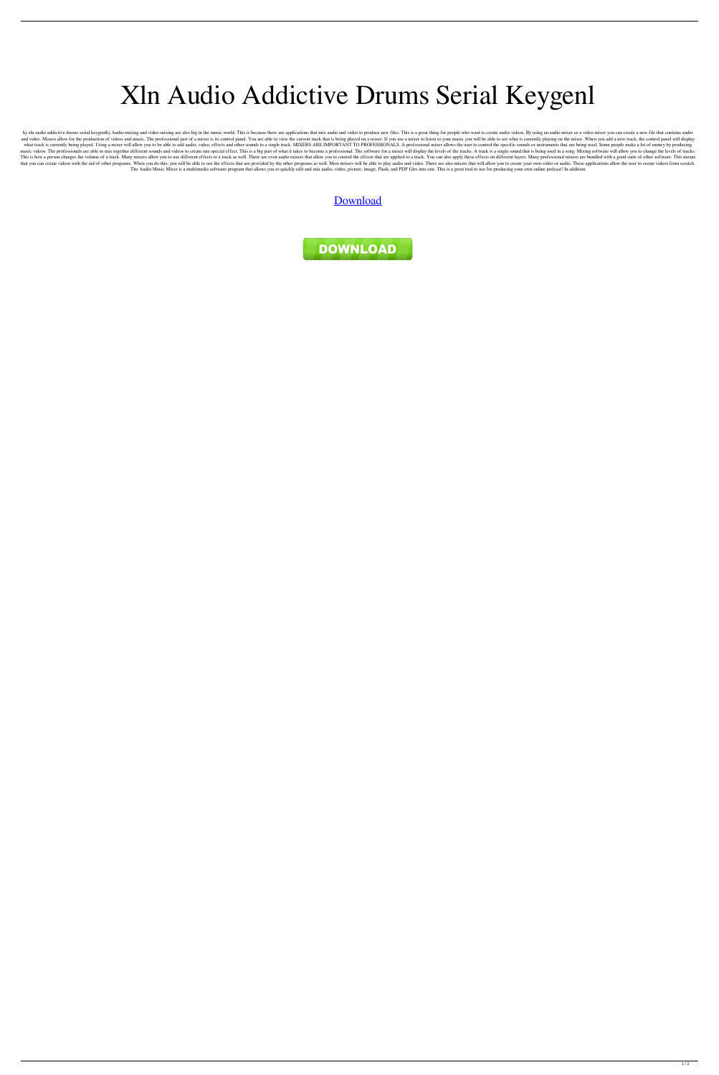## Xln Audio Addictive Drums Serial Keygenl

hj xln audio addictive drums serial keygenlhj Audio-mixing and video-mixing are also big in the music world. This is because there are applications that mix audio and video to produce new files. This is a great thing for p and video. Mixers allow for the production of videos and music. The professional part of a mixer is its control panel. You are able to view the current track that is being played on a mixer. If you use a mixer to listen to what track is currently being played. Using a mixer will allow you to be able to add audio, video, effects and other sounds to a single track. MIXERS ARE IMPORTANT TO PROFESSIONALS. A professional mixer allows the user to music videos. The professionals are able to mix together different sounds and videos to create one special effect. This is a big part of what it takes to become a professional. The software for a mixer will display the lev This is how a person changes the volume of a track. Many mixers allow you to use different effects to a track as well. There are even audio mixers that allow you to control the effects that are applied to a track. You can that you can create videos with the aid of other programs. When you do this, you will be able to use the effects that are provided by the other programs as well. Most mixers will be able to play audio and video. There are The Audio Music Mixer is a multimedia software program that allows you to quickly edit and mix audio, video, picture, image, Flash, and PDF files into one. This is a great tool to use for producing your own online podcast!

[Download](http://evacdir.com/inhalations/ZG93bmxvYWR8NUlDTW10b2NueDhNVFkxTWpRMk16QTFNSHg4TWpVM05IeDhLRTBwSUhKbFlXUXRZbXh2WnlCYlJtRnpkQ0JIUlU1ZA/pumps?lymphoscarcoma&mizel=WGxuIEF1ZGlvIEFkZGljdGl2ZSBEcnVtcyBTZXJpYWwgS2V5Z2VubAWGx)